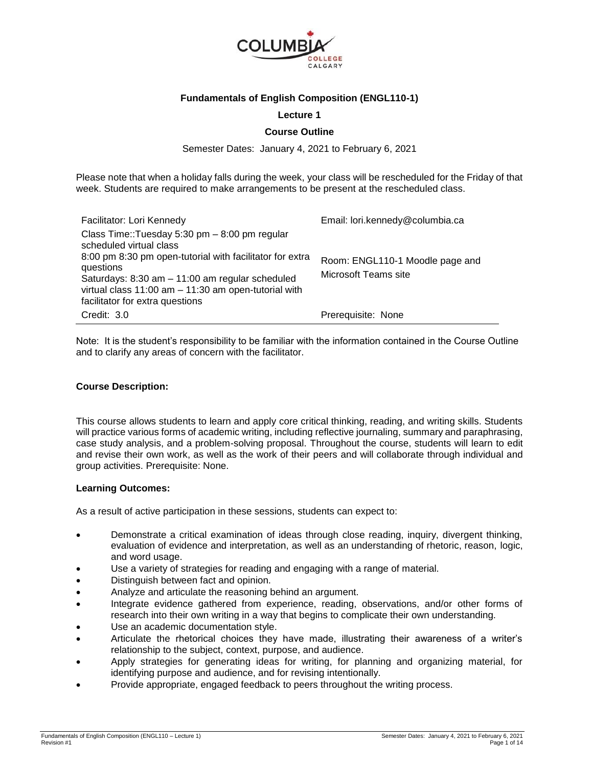

## **Fundamentals of English Composition (ENGL110-1)**

### **Lecture 1**

### **Course Outline**

Semester Dates: January 4, 2021 to February 6, 2021

Please note that when a holiday falls during the week, your class will be rescheduled for the Friday of that week. Students are required to make arrangements to be present at the rescheduled class.

| Facilitator: Lori Kennedy                                                                                                                                                                                                                                                                       | Email: lori.kennedy@columbia.ca                         |
|-------------------------------------------------------------------------------------------------------------------------------------------------------------------------------------------------------------------------------------------------------------------------------------------------|---------------------------------------------------------|
| Class Time::Tuesday 5:30 pm - 8:00 pm regular<br>scheduled virtual class<br>8:00 pm 8:30 pm open-tutorial with facilitator for extra<br>questions<br>Saturdays: 8:30 am - 11:00 am regular scheduled<br>virtual class 11:00 am - 11:30 am open-tutorial with<br>facilitator for extra questions | Room: ENGL110-1 Moodle page and<br>Microsoft Teams site |
| Credit: 3.0                                                                                                                                                                                                                                                                                     | Prerequisite: None                                      |

Note: It is the student's responsibility to be familiar with the information contained in the Course Outline and to clarify any areas of concern with the facilitator.

### **Course Description:**

This course allows students to learn and apply core critical thinking, reading, and writing skills. Students will practice various forms of academic writing, including reflective journaling, summary and paraphrasing, case study analysis, and a problem-solving proposal. Throughout the course, students will learn to edit and revise their own work, as well as the work of their peers and will collaborate through individual and group activities. Prerequisite: None.

### **Learning Outcomes:**

As a result of active participation in these sessions, students can expect to:

- Demonstrate a critical examination of ideas through close reading, inquiry, divergent thinking, evaluation of evidence and interpretation, as well as an understanding of rhetoric, reason, logic, and word usage.
- Use a variety of strategies for reading and engaging with a range of material.
- Distinguish between fact and opinion.
- Analyze and articulate the reasoning behind an argument.
- Integrate evidence gathered from experience, reading, observations, and/or other forms of research into their own writing in a way that begins to complicate their own understanding.
- Use an academic documentation style.
- Articulate the rhetorical choices they have made, illustrating their awareness of a writer's relationship to the subject, context, purpose, and audience.
- Apply strategies for generating ideas for writing, for planning and organizing material, for identifying purpose and audience, and for revising intentionally.
- Provide appropriate, engaged feedback to peers throughout the writing process.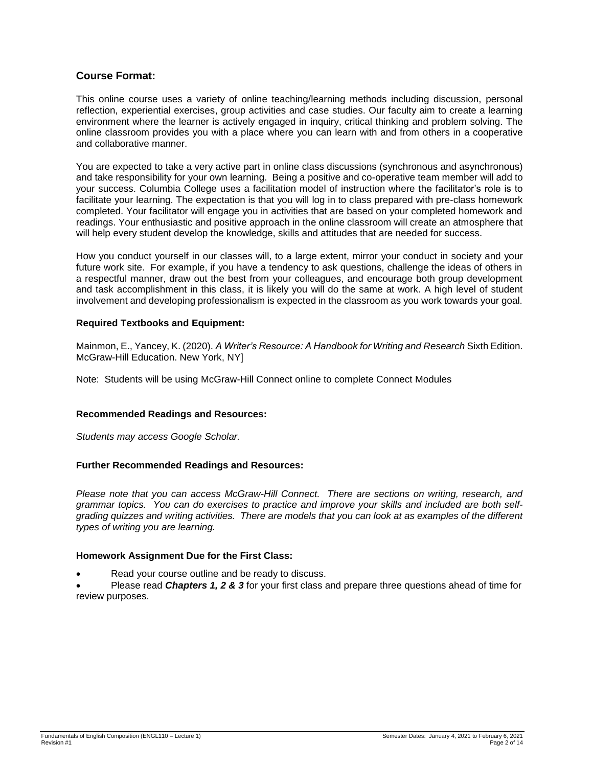# **Course Format:**

This online course uses a variety of online teaching/learning methods including discussion, personal reflection, experiential exercises, group activities and case studies. Our faculty aim to create a learning environment where the learner is actively engaged in inquiry, critical thinking and problem solving. The online classroom provides you with a place where you can learn with and from others in a cooperative and collaborative manner.

You are expected to take a very active part in online class discussions (synchronous and asynchronous) and take responsibility for your own learning. Being a positive and co-operative team member will add to your success. Columbia College uses a facilitation model of instruction where the facilitator's role is to facilitate your learning. The expectation is that you will log in to class prepared with pre-class homework completed. Your facilitator will engage you in activities that are based on your completed homework and readings. Your enthusiastic and positive approach in the online classroom will create an atmosphere that will help every student develop the knowledge, skills and attitudes that are needed for success.

How you conduct yourself in our classes will, to a large extent, mirror your conduct in society and your future work site. For example, if you have a tendency to ask questions, challenge the ideas of others in a respectful manner, draw out the best from your colleagues, and encourage both group development and task accomplishment in this class, it is likely you will do the same at work. A high level of student involvement and developing professionalism is expected in the classroom as you work towards your goal.

### **Required Textbooks and Equipment:**

Mainmon, E., Yancey, K. (2020). *A Writer's Resource: A Handbook for Writing and Research* Sixth Edition. McGraw-Hill Education. New York, NY]

Note: Students will be using McGraw-Hill Connect online to complete Connect Modules

# **Recommended Readings and Resources:**

*Students may access Google Scholar.*

# **Further Recommended Readings and Resources:**

*Please note that you can access McGraw-Hill Connect. There are sections on writing, research, and grammar topics. You can do exercises to practice and improve your skills and included are both selfgrading quizzes and writing activities. There are models that you can look at as examples of the different types of writing you are learning.*

### **Homework Assignment Due for the First Class:**

Read your course outline and be ready to discuss.

 Please read *Chapters 1, 2 & 3* for your first class and prepare three questions ahead of time for review purposes.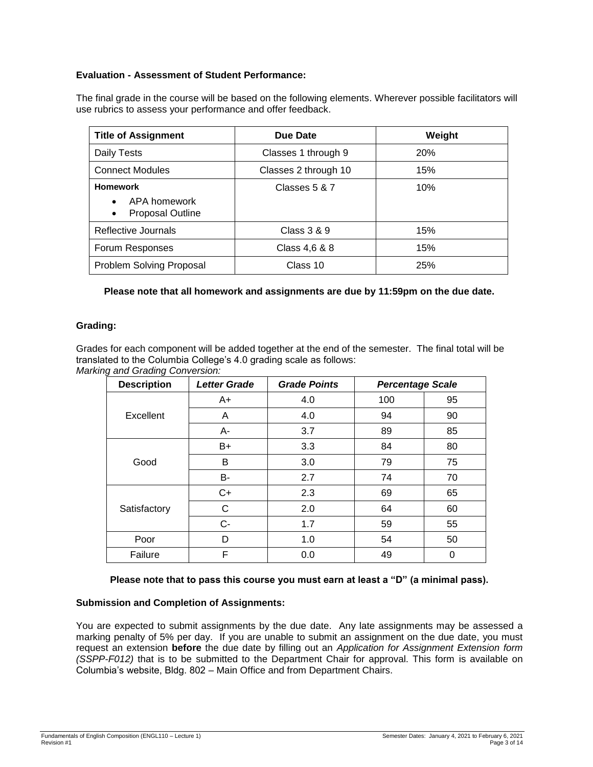# **Evaluation - Assessment of Student Performance:**

The final grade in the course will be based on the following elements. Wherever possible facilitators will use rubrics to assess your performance and offer feedback.

| <b>Title of Assignment</b>                                              | Due Date             | Weight     |
|-------------------------------------------------------------------------|----------------------|------------|
| Daily Tests                                                             | Classes 1 through 9  | <b>20%</b> |
| <b>Connect Modules</b>                                                  | Classes 2 through 10 | 15%        |
| <b>Homework</b><br>APA homework<br><b>Proposal Outline</b><br>$\bullet$ | Classes 5 & 7        | 10%        |
| Reflective Journals                                                     | Class 3 & 9          | 15%        |
| Forum Responses                                                         | Class 4,6 & 8        | 15%        |
| Problem Solving Proposal                                                | Class 10             | 25%        |

**Please note that all homework and assignments are due by 11:59pm on the due date.**

# **Grading:**

Grades for each component will be added together at the end of the semester. The final total will be translated to the Columbia College's 4.0 grading scale as follows: *Marking and Grading Conversion:*

| <b>Description</b> | <b>Letter Grade</b> | <b>Grade Points</b> | <b>Percentage Scale</b> |    |
|--------------------|---------------------|---------------------|-------------------------|----|
|                    | $A+$                | 4.0                 | 100                     | 95 |
| Excellent          | A                   | 4.0                 | 94                      | 90 |
|                    | A-                  | 3.7                 | 89                      | 85 |
| Good               | B+                  | 3.3                 | 84                      | 80 |
|                    | В                   | 3.0                 | 79                      | 75 |
|                    | B-                  | 2.7                 | 74                      | 70 |
| Satisfactory       | $C+$                | 2.3                 | 69                      | 65 |
|                    | С                   | 2.0                 | 64                      | 60 |
|                    | $C-$                | 1.7                 | 59                      | 55 |
| Poor               | D                   | 1.0                 | 54                      | 50 |
| Failure            | F                   | 0.0                 | 49                      | 0  |

### **Please note that to pass this course you must earn at least a "D" (a minimal pass).**

# **Submission and Completion of Assignments:**

You are expected to submit assignments by the due date. Any late assignments may be assessed a marking penalty of 5% per day. If you are unable to submit an assignment on the due date, you must request an extension **before** the due date by filling out an *Application for Assignment Extension form (SSPP-F012)* that is to be submitted to the Department Chair for approval. This form is available on Columbia's website, Bldg. 802 – Main Office and from Department Chairs.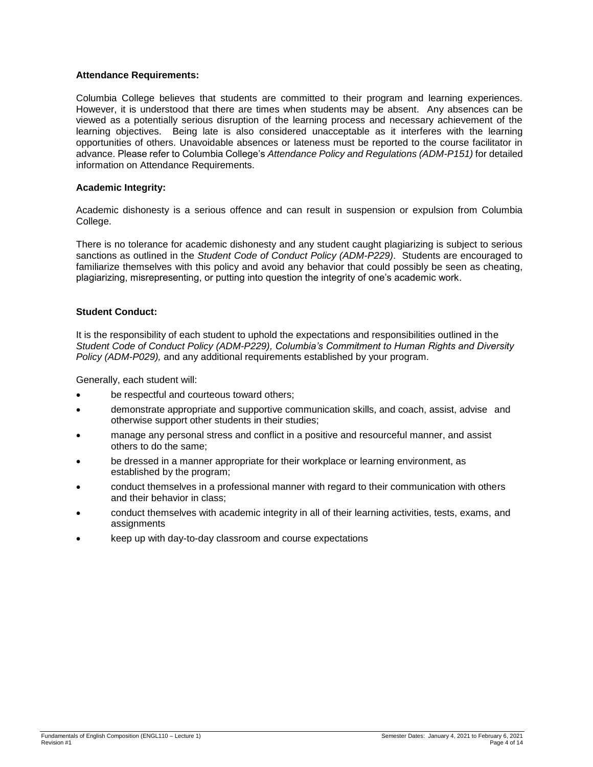### **Attendance Requirements:**

Columbia College believes that students are committed to their program and learning experiences. However, it is understood that there are times when students may be absent. Any absences can be viewed as a potentially serious disruption of the learning process and necessary achievement of the learning objectives. Being late is also considered unacceptable as it interferes with the learning opportunities of others. Unavoidable absences or lateness must be reported to the course facilitator in advance. Please refer to Columbia College's *Attendance Policy and Regulations (ADM-P151)* for detailed information on Attendance Requirements.

### **Academic Integrity:**

Academic dishonesty is a serious offence and can result in suspension or expulsion from Columbia College.

There is no tolerance for academic dishonesty and any student caught plagiarizing is subject to serious sanctions as outlined in the *Student Code of Conduct Policy (ADM-P229)*. Students are encouraged to familiarize themselves with this policy and avoid any behavior that could possibly be seen as cheating, plagiarizing, misrepresenting, or putting into question the integrity of one's academic work.

### **Student Conduct:**

It is the responsibility of each student to uphold the expectations and responsibilities outlined in the *Student Code of Conduct Policy (ADM-P229), Columbia's Commitment to Human Rights and Diversity Policy (ADM-P029),* and any additional requirements established by your program.

Generally, each student will:

- be respectful and courteous toward others;
- demonstrate appropriate and supportive communication skills, and coach, assist, advise and otherwise support other students in their studies;
- manage any personal stress and conflict in a positive and resourceful manner, and assist others to do the same;
- be dressed in a manner appropriate for their workplace or learning environment, as established by the program;
- conduct themselves in a professional manner with regard to their communication with others and their behavior in class;
- conduct themselves with academic integrity in all of their learning activities, tests, exams, and assignments
- keep up with day-to-day classroom and course expectations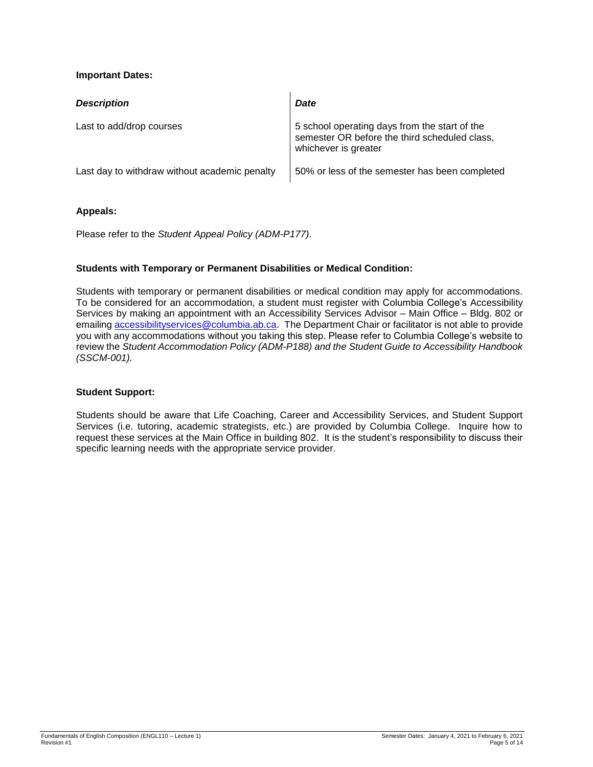# **Important Dates:**

| <b>Description</b>                            | Date                                                                                                                   |
|-----------------------------------------------|------------------------------------------------------------------------------------------------------------------------|
| Last to add/drop courses                      | 5 school operating days from the start of the<br>semester OR before the third scheduled class,<br>whichever is greater |
| Last day to withdraw without academic penalty | 50% or less of the semester has been completed                                                                         |

# **Appeals:**

Please refer to the *Student Appeal Policy (ADM-P177)*.

# **Students with Temporary or Permanent Disabilities or Medical Condition:**

Students with temporary or permanent disabilities or medical condition may apply for accommodations. To be considered for an accommodation, a student must register with Columbia College's Accessibility Services by making an appointment with an Accessibility Services Advisor – Main Office – Bldg. 802 or emailing [accessibilityservices@columbia.ab.ca.](mailto:accessibilityservices@columbia.ab.ca) The Department Chair or facilitator is not able to provide you with any accommodations without you taking this step. Please refer to Columbia College's website to review the *Student Accommodation Policy (ADM-P188) and the Student Guide to Accessibility Handbook (SSCM-001).*

# **Student Support:**

Students should be aware that Life Coaching, Career and Accessibility Services, and Student Support Services (i.e. tutoring, academic strategists, etc.) are provided by Columbia College. Inquire how to request these services at the Main Office in building 802. It is the student's responsibility to discuss their specific learning needs with the appropriate service provider.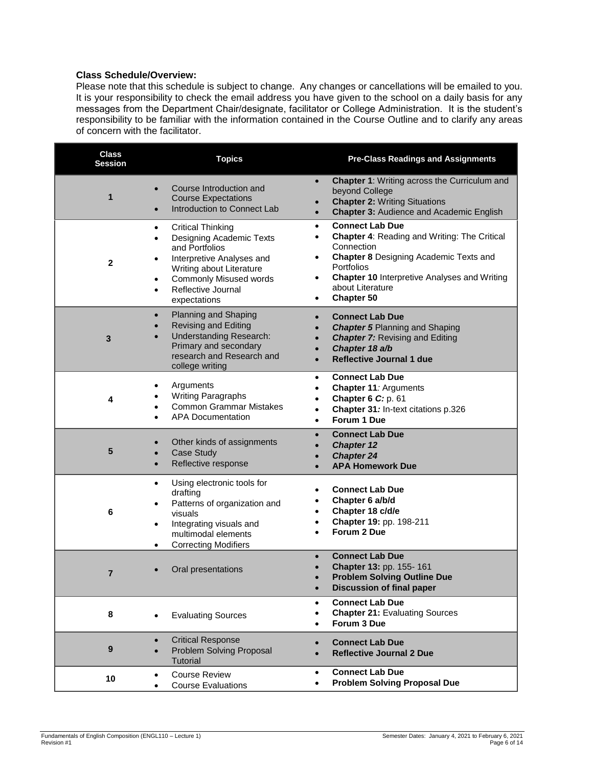## **Class Schedule/Overview:**

Please note that this schedule is subject to change. Any changes or cancellations will be emailed to you. It is your responsibility to check the email address you have given to the school on a daily basis for any messages from the Department Chair/designate, facilitator or College Administration. It is the student's responsibility to be familiar with the information contained in the Course Outline and to clarify any areas of concern with the facilitator.

| <b>Class</b><br><b>Session</b> | <b>Topics</b>                                                                                                                                                                                                                                                   | <b>Pre-Class Readings and Assignments</b>                                                                                                                                                                                                                                                     |  |  |
|--------------------------------|-----------------------------------------------------------------------------------------------------------------------------------------------------------------------------------------------------------------------------------------------------------------|-----------------------------------------------------------------------------------------------------------------------------------------------------------------------------------------------------------------------------------------------------------------------------------------------|--|--|
| 1                              | Course Introduction and<br>$\bullet$<br><b>Course Expectations</b><br>Introduction to Connect Lab                                                                                                                                                               | <b>Chapter 1: Writing across the Curriculum and</b><br>$\bullet$<br>beyond College<br><b>Chapter 2: Writing Situations</b><br><b>Chapter 3: Audience and Academic English</b><br>$\bullet$                                                                                                    |  |  |
| $\mathbf{2}$                   | <b>Critical Thinking</b><br>٠<br>Designing Academic Texts<br>$\bullet$<br>and Portfolios<br>Interpretive Analyses and<br>$\bullet$<br>Writing about Literature<br><b>Commonly Misused words</b><br>$\bullet$<br>Reflective Journal<br>$\bullet$<br>expectations | <b>Connect Lab Due</b><br>$\bullet$<br>Chapter 4: Reading and Writing: The Critical<br>$\bullet$<br>Connection<br><b>Chapter 8 Designing Academic Texts and</b><br>٠<br>Portfolios<br><b>Chapter 10 Interpretive Analyses and Writing</b><br>$\bullet$<br>about Literature<br>Chapter 50<br>٠ |  |  |
| $\mathbf{3}$                   | Planning and Shaping<br>$\bullet$<br><b>Revising and Editing</b><br><b>Understanding Research:</b><br>Primary and secondary<br>research and Research and<br>college writing                                                                                     | <b>Connect Lab Due</b><br>$\bullet$<br><b>Chapter 5 Planning and Shaping</b><br><b>Chapter 7: Revising and Editing</b><br>Chapter 18 a/b<br><b>Reflective Journal 1 due</b><br>$\bullet$                                                                                                      |  |  |
| 4                              | Arguments<br>$\bullet$<br><b>Writing Paragraphs</b><br><b>Common Grammar Mistakes</b><br><b>APA Documentation</b>                                                                                                                                               | <b>Connect Lab Due</b><br>$\bullet$<br>Chapter 11: Arguments<br>$\bullet$<br>Chapter 6 C: p. 61<br>$\bullet$<br>Chapter 31: In-text citations p.326<br>٠<br>Forum 1 Due<br>$\bullet$                                                                                                          |  |  |
| 5                              | Other kinds of assignments<br><b>Case Study</b><br>Reflective response<br>$\bullet$                                                                                                                                                                             | <b>Connect Lab Due</b><br>$\bullet$<br><b>Chapter 12</b><br><b>Chapter 24</b><br><b>APA Homework Due</b>                                                                                                                                                                                      |  |  |
| 6                              | Using electronic tools for<br>$\bullet$<br>drafting<br>Patterns of organization and<br>$\bullet$<br>visuals<br>Integrating visuals and<br>$\bullet$<br>multimodal elements<br><b>Correcting Modifiers</b><br>$\bullet$                                          | <b>Connect Lab Due</b><br>Chapter 6 a/b/d<br>Chapter 18 c/d/e<br>Chapter 19: pp. 198-211<br>Forum 2 Due                                                                                                                                                                                       |  |  |
| 7                              | Oral presentations                                                                                                                                                                                                                                              | <b>Connect Lab Due</b><br>Chapter 13: pp. 155-161<br><b>Problem Solving Outline Due</b><br><b>Discussion of final paper</b><br>$\bullet$                                                                                                                                                      |  |  |
| 8                              | <b>Evaluating Sources</b><br>$\bullet$                                                                                                                                                                                                                          | <b>Connect Lab Due</b><br>$\bullet$<br><b>Chapter 21: Evaluating Sources</b><br>Forum 3 Due                                                                                                                                                                                                   |  |  |
| 9                              | <b>Critical Response</b><br>$\bullet$<br>Problem Solving Proposal<br>$\bullet$<br>Tutorial                                                                                                                                                                      | <b>Connect Lab Due</b><br>$\bullet$<br><b>Reflective Journal 2 Due</b>                                                                                                                                                                                                                        |  |  |
| 10                             | <b>Course Review</b><br>٠<br><b>Course Evaluations</b><br>$\bullet$                                                                                                                                                                                             | <b>Connect Lab Due</b><br>$\bullet$<br><b>Problem Solving Proposal Due</b><br>$\bullet$                                                                                                                                                                                                       |  |  |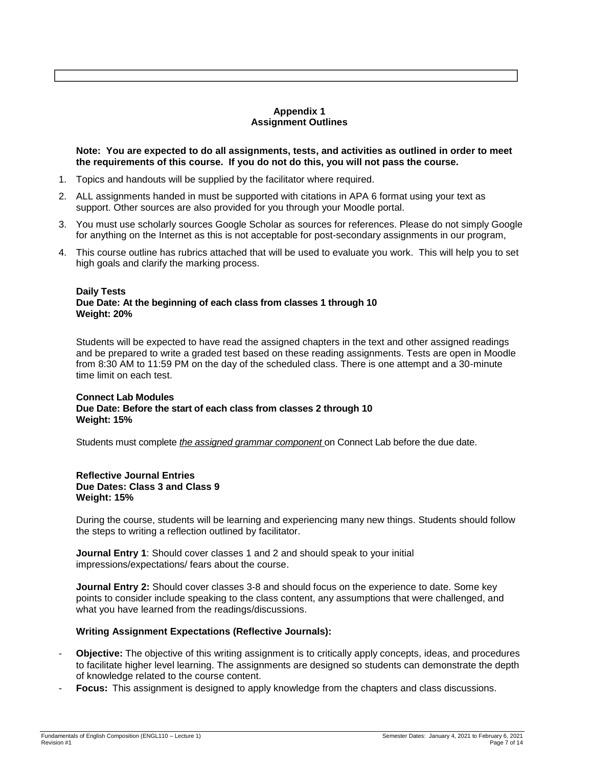### **Appendix 1 Assignment Outlines**

**Note: You are expected to do all assignments, tests, and activities as outlined in order to meet the requirements of this course. If you do not do this, you will not pass the course.** 

- 1. Topics and handouts will be supplied by the facilitator where required.
- 2. ALL assignments handed in must be supported with citations in APA 6 format using your text as support. Other sources are also provided for you through your Moodle portal.
- 3. You must use scholarly sources Google Scholar as sources for references. Please do not simply Google for anything on the Internet as this is not acceptable for post-secondary assignments in our program,
- 4. This course outline has rubrics attached that will be used to evaluate you work. This will help you to set high goals and clarify the marking process.

### **Daily Tests Due Date: At the beginning of each class from classes 1 through 10 Weight: 20%**

Students will be expected to have read the assigned chapters in the text and other assigned readings and be prepared to write a graded test based on these reading assignments. Tests are open in Moodle from 8:30 AM to 11:59 PM on the day of the scheduled class. There is one attempt and a 30-minute time limit on each test.

### **Connect Lab Modules Due Date: Before the start of each class from classes 2 through 10 Weight: 15%**

Students must complete *the assigned grammar component* on Connect Lab before the due date.

#### **Reflective Journal Entries Due Dates: Class 3 and Class 9 Weight: 15%**

During the course, students will be learning and experiencing many new things. Students should follow the steps to writing a reflection outlined by facilitator.

**Journal Entry 1**: Should cover classes 1 and 2 and should speak to your initial impressions/expectations/ fears about the course.

**Journal Entry 2:** Should cover classes 3-8 and should focus on the experience to date. Some key points to consider include speaking to the class content, any assumptions that were challenged, and what you have learned from the readings/discussions.

### **Writing Assignment Expectations (Reflective Journals):**

- **Objective:** The objective of this writing assignment is to critically apply concepts, ideas, and procedures to facilitate higher level learning. The assignments are designed so students can demonstrate the depth of knowledge related to the course content.
- **Focus:** This assignment is designed to apply knowledge from the chapters and class discussions.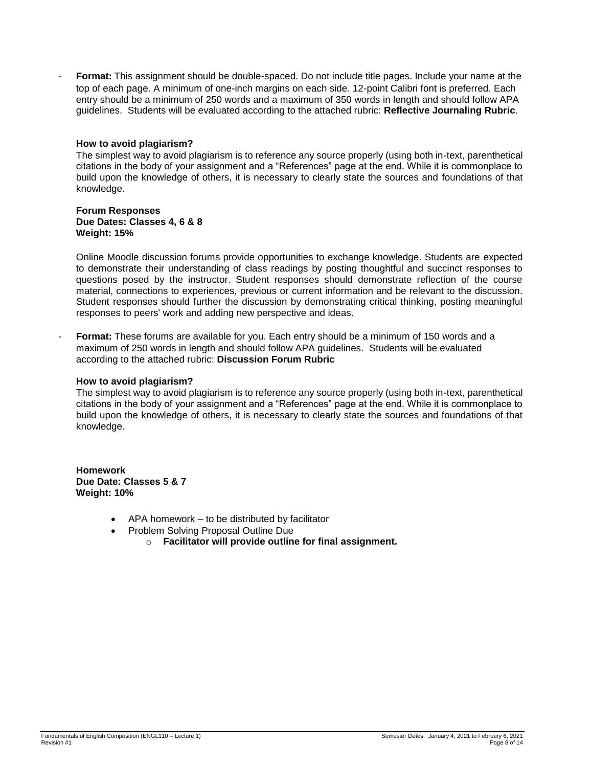Format: This assignment should be double-spaced. Do not include title pages. Include your name at the top of each page. A minimum of one-inch margins on each side. 12-point Calibri font is preferred. Each entry should be a minimum of 250 words and a maximum of 350 words in length and should follow APA guidelines. Students will be evaluated according to the attached rubric: **Reflective Journaling Rubric**.

### **How to avoid plagiarism?**

The simplest way to avoid plagiarism is to reference any source properly (using both in-text, parenthetical citations in the body of your assignment and a "References" page at the end. While it is commonplace to build upon the knowledge of others, it is necessary to clearly state the sources and foundations of that knowledge.

#### **Forum Responses Due Dates: Classes 4, 6 & 8 Weight: 15%**

Online Moodle discussion forums provide opportunities to exchange knowledge. Students are expected to demonstrate their understanding of class readings by posting thoughtful and succinct responses to questions posed by the instructor. Student responses should demonstrate reflection of the course material, connections to experiences, previous or current information and be relevant to the discussion. Student responses should further the discussion by demonstrating critical thinking, posting meaningful responses to peers' work and adding new perspective and ideas.

- **Format:** These forums are available for you. Each entry should be a minimum of 150 words and a maximum of 250 words in length and should follow APA guidelines. Students will be evaluated according to the attached rubric: **Discussion Forum Rubric**

### **How to avoid plagiarism?**

The simplest way to avoid plagiarism is to reference any source properly (using both in-text, parenthetical citations in the body of your assignment and a "References" page at the end. While it is commonplace to build upon the knowledge of others, it is necessary to clearly state the sources and foundations of that knowledge.

**Homework Due Date: Classes 5 & 7 Weight: 10%**

- APA homework to be distributed by facilitator
- Problem Solving Proposal Outline Due
	- o **Facilitator will provide outline for final assignment.**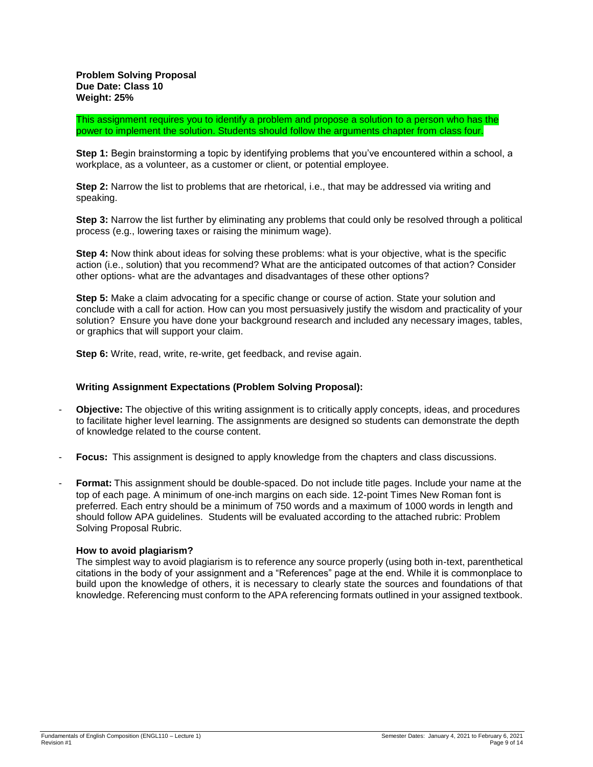This assignment requires you to identify a problem and propose a solution to a person who has the power to implement the solution. Students should follow the arguments chapter from class four.

**Step 1:** Begin brainstorming a topic by identifying problems that you've encountered within a school, a workplace, as a volunteer, as a customer or client, or potential employee.

**Step 2:** Narrow the list to problems that are rhetorical, i.e., that may be addressed via writing and speaking.

**Step 3:** Narrow the list further by eliminating any problems that could only be resolved through a political process (e.g., lowering taxes or raising the minimum wage).

**Step 4:** Now think about ideas for solving these problems: what is your objective, what is the specific action (i.e., solution) that you recommend? What are the anticipated outcomes of that action? Consider other options- what are the advantages and disadvantages of these other options?

**Step 5:** Make a claim advocating for a specific change or course of action. State your solution and conclude with a call for action. How can you most persuasively justify the wisdom and practicality of your solution? Ensure you have done your background research and included any necessary images, tables, or graphics that will support your claim.

**Step 6:** Write, read, write, re-write, get feedback, and revise again.

### **Writing Assignment Expectations (Problem Solving Proposal):**

- **Objective:** The objective of this writing assignment is to critically apply concepts, ideas, and procedures to facilitate higher level learning. The assignments are designed so students can demonstrate the depth of knowledge related to the course content.
- **Focus:** This assignment is designed to apply knowledge from the chapters and class discussions.
- **Format:** This assignment should be double-spaced. Do not include title pages. Include your name at the top of each page. A minimum of one-inch margins on each side. 12-point Times New Roman font is preferred. Each entry should be a minimum of 750 words and a maximum of 1000 words in length and should follow APA guidelines. Students will be evaluated according to the attached rubric: Problem Solving Proposal Rubric.

### **How to avoid plagiarism?**

The simplest way to avoid plagiarism is to reference any source properly (using both in-text, parenthetical citations in the body of your assignment and a "References" page at the end. While it is commonplace to build upon the knowledge of others, it is necessary to clearly state the sources and foundations of that knowledge. Referencing must conform to the APA referencing formats outlined in your assigned textbook.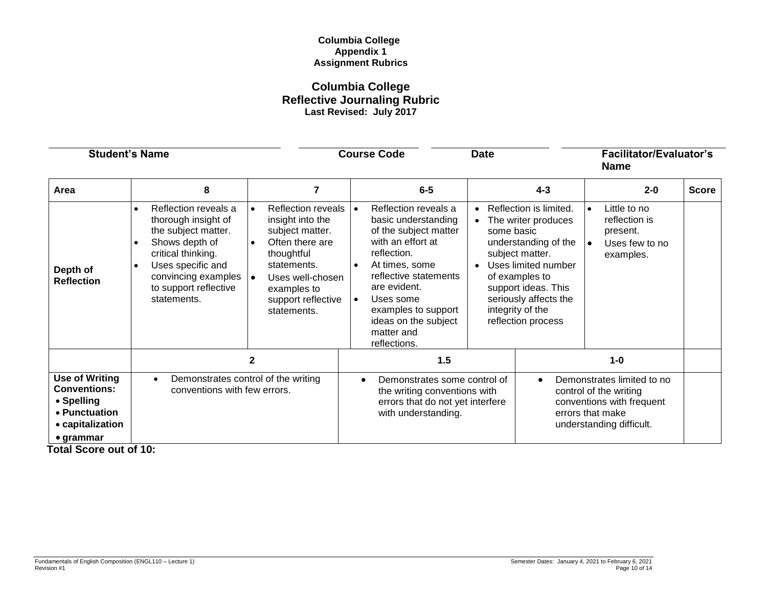## **Columbia College Appendix 1 Assignment Rubrics**

# **Columbia College Reflective Journaling Rubric Last Revised: July 2017**

| <b>Student's Name</b>                                                                                                |                                                                                                                                                                                                                      |                                                                                                                                                                                                                    | <b>Course Code</b>                                                                                                                                                                                                                                                                                   | <b>Date</b>             |                                                                                                                                                                                                                             | <b>Facilitator/Evaluator's</b><br><b>Name</b>                                                                                     |              |
|----------------------------------------------------------------------------------------------------------------------|----------------------------------------------------------------------------------------------------------------------------------------------------------------------------------------------------------------------|--------------------------------------------------------------------------------------------------------------------------------------------------------------------------------------------------------------------|------------------------------------------------------------------------------------------------------------------------------------------------------------------------------------------------------------------------------------------------------------------------------------------------------|-------------------------|-----------------------------------------------------------------------------------------------------------------------------------------------------------------------------------------------------------------------------|-----------------------------------------------------------------------------------------------------------------------------------|--------------|
| Area                                                                                                                 | 8                                                                                                                                                                                                                    | $\overline{7}$                                                                                                                                                                                                     | $6-5$                                                                                                                                                                                                                                                                                                |                         | $4 - 3$                                                                                                                                                                                                                     | $2 - 0$                                                                                                                           | <b>Score</b> |
| Depth of<br><b>Reflection</b>                                                                                        | Reflection reveals a<br>thorough insight of<br>the subject matter.<br>Shows depth of<br>critical thinking.<br>Uses specific and<br>convincing examples $\vert \bullet \vert$<br>to support reflective<br>statements. | <b>Reflection reveals</b><br>$\bullet$<br>insight into the<br>subject matter.<br>Often there are<br>$\bullet$<br>thoughtful<br>statements.<br>Uses well-chosen<br>examples to<br>support reflective<br>statements. | Reflection reveals a<br>$\bullet$<br>basic understanding<br>of the subject matter<br>with an effort at<br>reflection.<br>At times, some<br>$\bullet$<br>reflective statements<br>are evident.<br>Uses some<br>$\bullet$<br>examples to support<br>ideas on the subject<br>matter and<br>reflections. | $\bullet$<br>some basic | Reflection is limited.<br>The writer produces<br>understanding of the<br>subject matter.<br>Uses limited number<br>of examples to<br>support ideas. This<br>seriously affects the<br>integrity of the<br>reflection process | Little to no<br>reflection is<br>present.<br>Uses few to no<br>$\bullet$<br>examples.                                             |              |
|                                                                                                                      |                                                                                                                                                                                                                      | $\mathbf{2}$                                                                                                                                                                                                       | 1.5                                                                                                                                                                                                                                                                                                  |                         |                                                                                                                                                                                                                             | $1-0$                                                                                                                             |              |
| <b>Use of Writing</b><br><b>Conventions:</b><br>• Spelling<br>• Punctuation<br>• capitalization<br>$\bullet$ grammar | Demonstrates control of the writing<br>conventions with few errors.                                                                                                                                                  |                                                                                                                                                                                                                    | Demonstrates some control of<br>the writing conventions with<br>errors that do not yet interfere<br>with understanding.                                                                                                                                                                              |                         | $\bullet$                                                                                                                                                                                                                   | Demonstrates limited to no<br>control of the writing<br>conventions with frequent<br>errors that make<br>understanding difficult. |              |

 **Total Score out of 10:**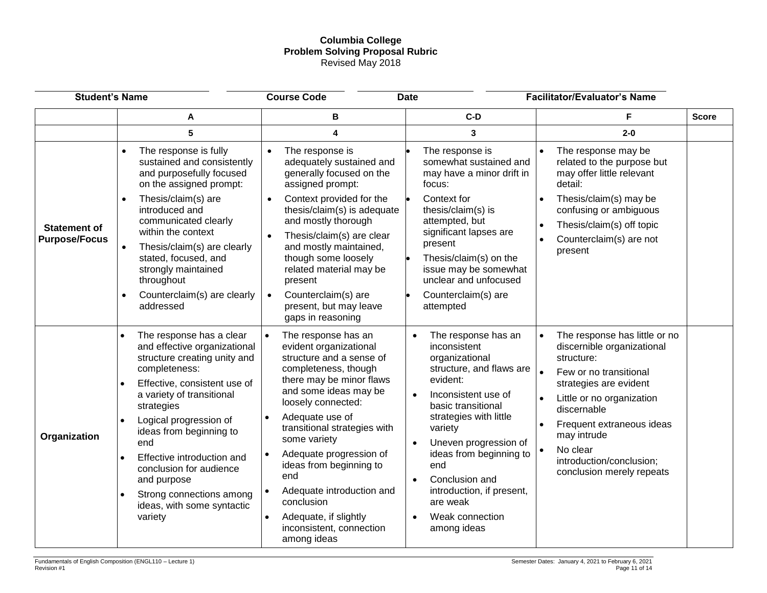## **Columbia College Problem Solving Proposal Rubric** Revised May 2018

| <b>Student's Name</b>                       |                                                                                                                                                                                                                                                                                                                                                                                                                                                   | <b>Course Code</b><br><b>Date</b>                                                                                                                                                                                                                                                                                                                                                                                                        |                                                                                                                                                                                                                                                                                                                                                                                             | <b>Facilitator/Evaluator's Name</b>                                                                                                                                                                                                                                                                                  |              |
|---------------------------------------------|---------------------------------------------------------------------------------------------------------------------------------------------------------------------------------------------------------------------------------------------------------------------------------------------------------------------------------------------------------------------------------------------------------------------------------------------------|------------------------------------------------------------------------------------------------------------------------------------------------------------------------------------------------------------------------------------------------------------------------------------------------------------------------------------------------------------------------------------------------------------------------------------------|---------------------------------------------------------------------------------------------------------------------------------------------------------------------------------------------------------------------------------------------------------------------------------------------------------------------------------------------------------------------------------------------|----------------------------------------------------------------------------------------------------------------------------------------------------------------------------------------------------------------------------------------------------------------------------------------------------------------------|--------------|
|                                             | A                                                                                                                                                                                                                                                                                                                                                                                                                                                 | В                                                                                                                                                                                                                                                                                                                                                                                                                                        | $C-D$                                                                                                                                                                                                                                                                                                                                                                                       | F                                                                                                                                                                                                                                                                                                                    | <b>Score</b> |
|                                             | 5                                                                                                                                                                                                                                                                                                                                                                                                                                                 | 4                                                                                                                                                                                                                                                                                                                                                                                                                                        | 3                                                                                                                                                                                                                                                                                                                                                                                           | $2 - 0$                                                                                                                                                                                                                                                                                                              |              |
| <b>Statement of</b><br><b>Purpose/Focus</b> | The response is fully<br>sustained and consistently<br>and purposefully focused<br>on the assigned prompt:<br>Thesis/claim(s) are<br>$\bullet$<br>introduced and<br>communicated clearly<br>within the context<br>Thesis/claim(s) are clearly<br>stated, focused, and<br>strongly maintained<br>throughout                                                                                                                                        | The response is<br>$\bullet$<br>adequately sustained and<br>generally focused on the<br>assigned prompt:<br>Context provided for the<br>$\bullet$<br>thesis/claim(s) is adequate<br>and mostly thorough<br>Thesis/claim(s) are clear<br>and mostly maintained,<br>though some loosely<br>related material may be<br>present                                                                                                              | The response is<br>somewhat sustained and<br>may have a minor drift in<br>focus:<br>Context for<br>thesis/claim(s) is<br>attempted, but<br>significant lapses are<br>present<br>Thesis/claim(s) on the<br>issue may be somewhat<br>unclear and unfocused                                                                                                                                    | The response may be<br>related to the purpose but<br>may offer little relevant<br>detail:<br>Thesis/claim(s) may be<br>$\bullet$<br>confusing or ambiguous<br>Thesis/claim(s) off topic<br>$\bullet$<br>Counterclaim(s) are not<br>$\bullet$<br>present                                                              |              |
|                                             | Counterclaim(s) are clearly<br>$\bullet$<br>addressed<br>$\bullet$                                                                                                                                                                                                                                                                                                                                                                                | Counterclaim(s) are<br>$\bullet$<br>present, but may leave<br>gaps in reasoning                                                                                                                                                                                                                                                                                                                                                          | Counterclaim(s) are<br>attempted                                                                                                                                                                                                                                                                                                                                                            |                                                                                                                                                                                                                                                                                                                      |              |
| Organization                                | The response has a clear<br>and effective organizational<br>structure creating unity and<br>completeness:<br>Effective, consistent use of<br>$\bullet$<br>a variety of transitional<br>strategies<br>Logical progression of<br>$\bullet$<br>ideas from beginning to<br>end<br>Effective introduction and<br>$\bullet$<br>conclusion for audience<br>and purpose<br>Strong connections among<br>$\bullet$<br>ideas, with some syntactic<br>variety | The response has an<br>$\bullet$<br>evident organizational<br>structure and a sense of<br>completeness, though<br>there may be minor flaws<br>and some ideas may be<br>loosely connected:<br>Adequate use of<br>transitional strategies with<br>some variety<br>Adequate progression of<br>ideas from beginning to<br>end<br>Adequate introduction and<br>conclusion<br>Adequate, if slightly<br>inconsistent, connection<br>among ideas | The response has an<br>inconsistent<br>organizational<br>structure, and flaws are<br>evident:<br>Inconsistent use of<br>$\bullet$<br>basic transitional<br>strategies with little<br>variety<br>Uneven progression of<br>$\bullet$<br>ideas from beginning to<br>end<br>Conclusion and<br>$\bullet$<br>introduction, if present,<br>are weak<br>Weak connection<br>$\bullet$<br>among ideas | The response has little or no<br>$\bullet$<br>discernible organizational<br>structure:<br>$\bullet$<br>Few or no transitional<br>strategies are evident<br>Little or no organization<br>discernable<br>Frequent extraneous ideas<br>may intrude<br>No clear<br>introduction/conclusion;<br>conclusion merely repeats |              |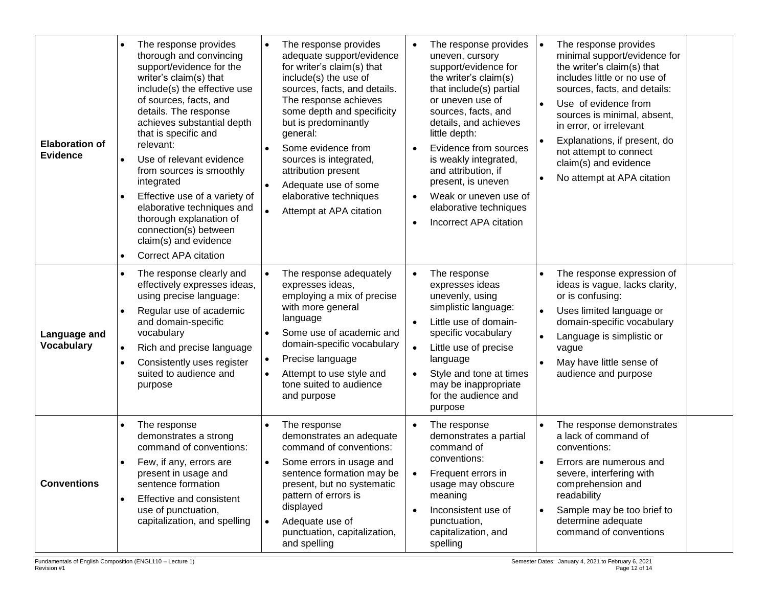| <b>Elaboration of</b><br><b>Evidence</b> | The response provides<br>$\bullet$<br>thorough and convincing<br>support/evidence for the<br>writer's claim(s) that<br>include(s) the effective use<br>of sources, facts, and<br>details. The response<br>achieves substantial depth<br>that is specific and<br>relevant:<br>Use of relevant evidence<br>$\bullet$<br>from sources is smoothly<br>integrated<br>Effective use of a variety of<br>$\bullet$<br>elaborative techniques and<br>thorough explanation of<br>connection(s) between<br>claim(s) and evidence<br><b>Correct APA citation</b><br>$\bullet$ | The response provides<br>$\bullet$<br>adequate support/evidence<br>for writer's claim(s) that<br>include(s) the use of<br>sources, facts, and details.<br>The response achieves<br>some depth and specificity<br>but is predominantly<br>general:<br>Some evidence from<br>sources is integrated,<br>attribution present<br>Adequate use of some<br>$\bullet$<br>elaborative techniques<br>Attempt at APA citation | The response provides<br>$\bullet$<br>uneven, cursory<br>support/evidence for<br>the writer's claim(s)<br>that include(s) partial<br>or uneven use of<br>sources, facts, and<br>details, and achieves<br>little depth:<br>Evidence from sources<br>$\bullet$<br>is weakly integrated,<br>and attribution, if<br>present, is uneven<br>Weak or uneven use of<br>$\bullet$<br>elaborative techniques<br>Incorrect APA citation<br>$\bullet$ | The response provides<br>minimal support/evidence for<br>the writer's claim(s) that<br>includes little or no use of<br>sources, facts, and details:<br>Use of evidence from<br>sources is minimal, absent,<br>in error, or irrelevant<br>Explanations, if present, do<br>$\bullet$<br>not attempt to connect<br>claim(s) and evidence<br>No attempt at APA citation |
|------------------------------------------|-------------------------------------------------------------------------------------------------------------------------------------------------------------------------------------------------------------------------------------------------------------------------------------------------------------------------------------------------------------------------------------------------------------------------------------------------------------------------------------------------------------------------------------------------------------------|--------------------------------------------------------------------------------------------------------------------------------------------------------------------------------------------------------------------------------------------------------------------------------------------------------------------------------------------------------------------------------------------------------------------|-------------------------------------------------------------------------------------------------------------------------------------------------------------------------------------------------------------------------------------------------------------------------------------------------------------------------------------------------------------------------------------------------------------------------------------------|---------------------------------------------------------------------------------------------------------------------------------------------------------------------------------------------------------------------------------------------------------------------------------------------------------------------------------------------------------------------|
| Language and<br>Vocabulary               | The response clearly and<br>$\bullet$<br>effectively expresses ideas,<br>using precise language:<br>Regular use of academic<br>and domain-specific<br>vocabulary<br>Rich and precise language<br>$\bullet$<br>Consistently uses register<br>$\bullet$<br>suited to audience and<br>purpose                                                                                                                                                                                                                                                                        | The response adequately<br>$\bullet$<br>expresses ideas,<br>employing a mix of precise<br>with more general<br>language<br>Some use of academic and<br>domain-specific vocabulary<br>Precise language<br>$\bullet$<br>Attempt to use style and<br>tone suited to audience<br>and purpose                                                                                                                           | The response<br>$\bullet$<br>expresses ideas<br>unevenly, using<br>simplistic language:<br>Little use of domain-<br>specific vocabulary<br>Little use of precise<br>$\bullet$<br>language<br>Style and tone at times<br>$\bullet$<br>may be inappropriate<br>for the audience and<br>purpose                                                                                                                                              | The response expression of<br>ideas is vague, lacks clarity,<br>or is confusing:<br>Uses limited language or<br>domain-specific vocabulary<br>Language is simplistic or<br>$\bullet$<br>vague<br>May have little sense of<br>$\bullet$<br>audience and purpose                                                                                                      |
| <b>Conventions</b>                       | The response<br>$\bullet$<br>demonstrates a strong<br>command of conventions:<br>Few, if any, errors are<br>$\bullet$<br>present in usage and<br>sentence formation<br>Effective and consistent<br>$\bullet$<br>use of punctuation,<br>capitalization, and spelling                                                                                                                                                                                                                                                                                               | The response<br>demonstrates an adequate<br>command of conventions:<br>Some errors in usage and<br>$\bullet$<br>sentence formation may be<br>present, but no systematic<br>pattern of errors is<br>displayed<br>Adequate use of<br>$\bullet$<br>punctuation, capitalization,<br>and spelling                                                                                                                       | The response<br>$\bullet$<br>demonstrates a partial<br>command of<br>conventions:<br>Frequent errors in<br>usage may obscure<br>meaning<br>Inconsistent use of<br>$\bullet$<br>punctuation,<br>capitalization, and<br>spelling                                                                                                                                                                                                            | The response demonstrates<br>a lack of command of<br>conventions:<br>Errors are numerous and<br>severe, interfering with<br>comprehension and<br>readability<br>Sample may be too brief to<br>$\bullet$<br>determine adequate<br>command of conventions                                                                                                             |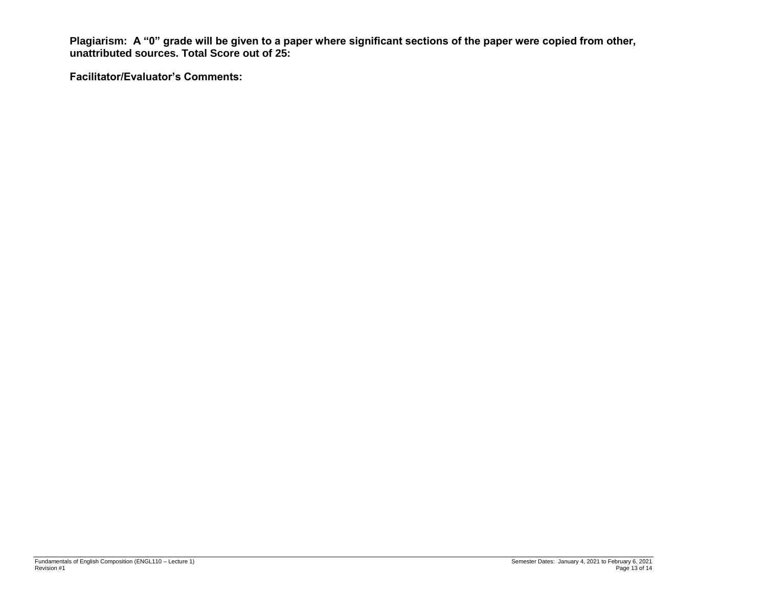**Plagiarism: A "0" grade will be given to a paper where significant sections of the paper were copied from other, unattributed sources. Total Score out of 25:** 

**Facilitator/Evaluator's Comments:**